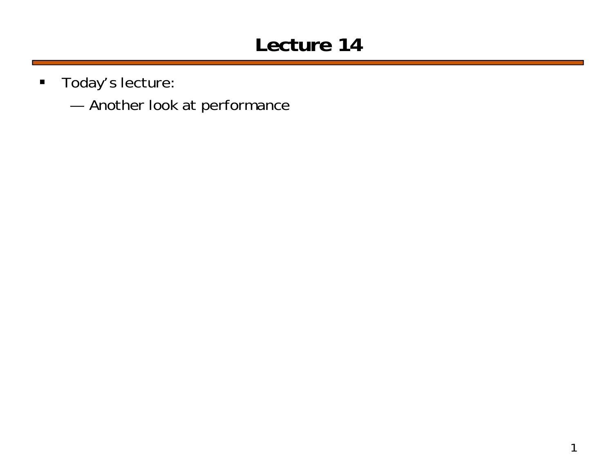## **Lecture 14**

- $\blacksquare$  Today's lecture:
	- ———————— Another look at performance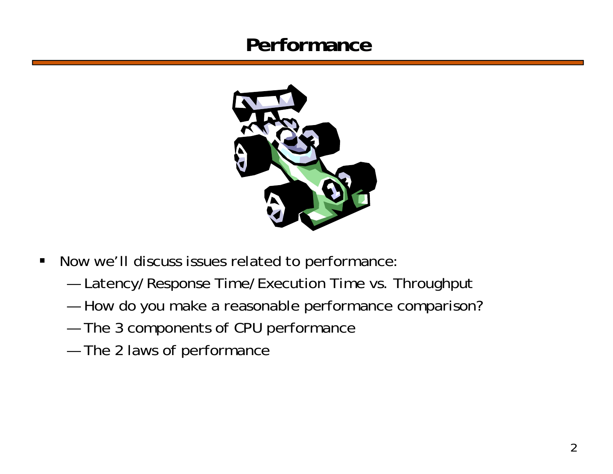#### **Performance**



- $\blacksquare$  Now we'll discuss issues related to performance:
	- ———————— Latency/Response Time/Execution Time vs. Throughput
	- ———————— How do you make a reasonable performance comparison?
	- ———————— The 3 components of CPU performance
	- ———————— The 2 laws of performance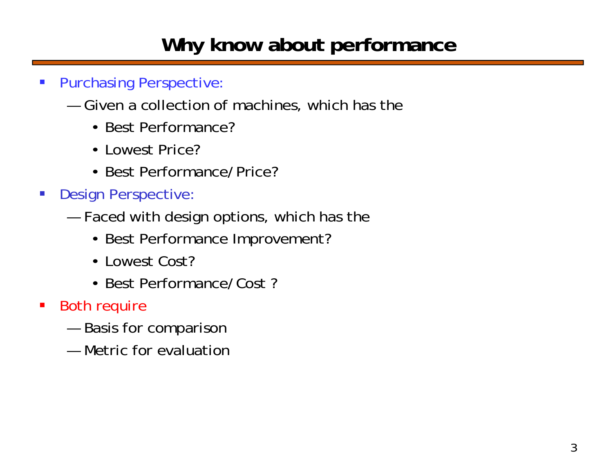## **Why know about performance**

- $\blacksquare$  Purchasing Perspective:
	- Given a collection of machines, which has the
		- Best Performance?
		- Lowest Price?
		- Best Performance/Price?
- $\mathcal{L}_{\mathrm{eff}}$  Design Perspective:
	- ———————— Faced with design options, which has the
		- Best Performance Improvement?
		- Lowest Cost?
		- Best Performance/Cost ?
- $\mathcal{L}_{\mathcal{A}}$  Both require
	- ———————— Basis for comparison
	- Metric for evaluation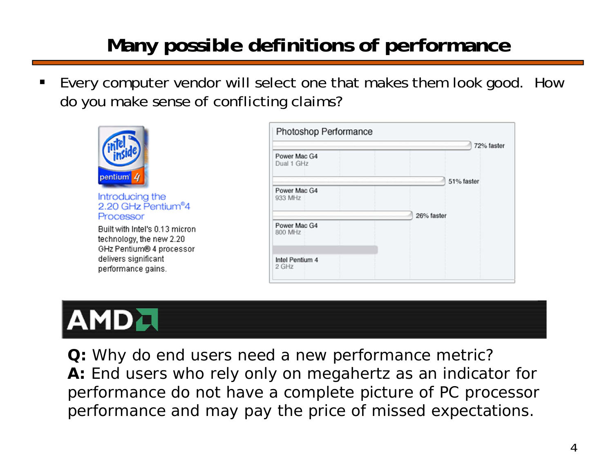## **Many possible definitions of performance**

 Every computer vendor will select one that makes them look good. How do you make sense of conflicting claims?



Introducing the 2.20 GHz Pentium<sup>®</sup>4 Processor

Built with Intel's 0.13 micron technology, the new 2.20 GHz Pentium® 4 processor delivers significant performance gains.

|                            | 72% faster |
|----------------------------|------------|
| Power Mac G4<br>Dual 1 GHz |            |
|                            | 51% faster |
| Power Mac G4<br>933 MHz    |            |
|                            | 26% faster |
| Power Mac G4<br>800 MHz    |            |
| Intel Pentium 4<br>2 GHz   |            |



**Q:** *Why do end users need a new performance metric?* **A:** End users who rely only on megahertz as an indicator for performance do not have a complete picture of PC processor performance and may pay the price of missed expectations.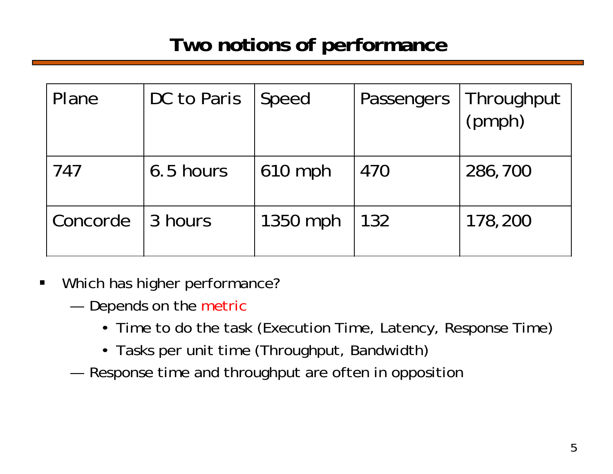#### **Two notions of performance**

| Plane    | DC to Paris | Speed     | <b>Passengers</b> | Throughput<br>(pmph) |
|----------|-------------|-----------|-------------------|----------------------|
| 747      | 6.5 hours   | $610$ mph | 470               | 286,700              |
| Concorde | 3 hours     | 1350 mph  | 132               | 178,200              |

- $\blacksquare$  Which has higher performance?
	- ———————— Depends on the metric
		- Time to do the task (Execution Time, Latency, Response Time)
		- Tasks per unit time (Throughput, Bandwidth)
	- ———————— Response time and throughput are often in opposition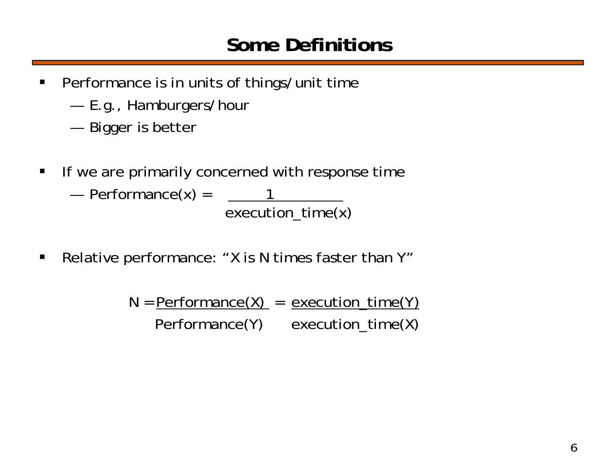#### **Some Definitions**

- $\blacksquare$  Performance is in units of things/unit time
	- ———————— E.g., Hamburgers/hour
	- ———————— Bigger is better
- $\blacksquare$  If we are primarily concerned with response time ———————— Performance $(x) =$  1 execution\_time(x)
- $\blacksquare$ Relative performance: "X is N times faster than Y"

 $N = Performance(X) = execution_time(Y)$ Performance(Y) execution\_time(X)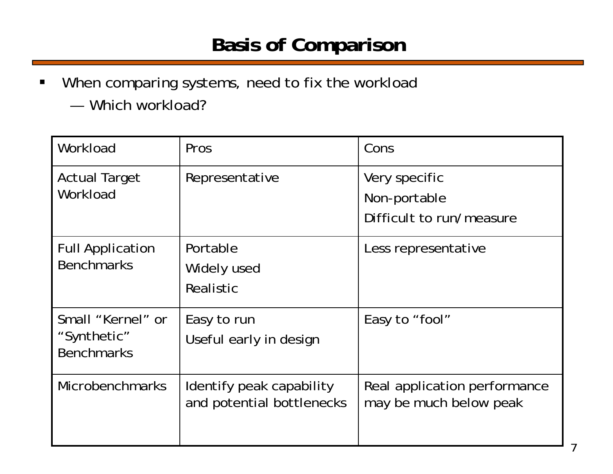#### **Basis of Comparison**

- $\blacksquare$  When comparing systems, need to fix the workload
	- Which workload?

| Workload                                              | Pros                                                  | Cons                                                      |
|-------------------------------------------------------|-------------------------------------------------------|-----------------------------------------------------------|
| <b>Actual Target</b><br>Workload                      | Representative                                        | Very specific<br>Non-portable<br>Difficult to run/measure |
| <b>Full Application</b><br><b>Benchmarks</b>          | Portable<br>Widely used<br>Realistic                  | Less representative                                       |
| Small "Kernel" or<br>"Synthetic"<br><b>Benchmarks</b> | Easy to run<br>Useful early in design                 | Easy to "fool"                                            |
| <b>Microbenchmarks</b>                                | Identify peak capability<br>and potential bottlenecks | Real application performance<br>may be much below peak    |

7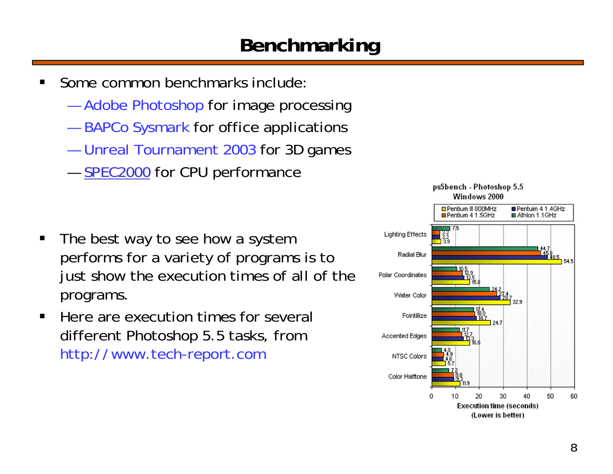#### **Benchmarking**

- Some common benchmarks include:
	- **All and the contract of the contract of the contract of the contract of the contract of the contract of the contract of the contract of the contract of the contract of the contract of the contract of the contract of the c** Adobe Photoshop for image processing
	- **All and the contract of the contract of the contract of the contract of the contract of the contract of the contract of the contract of the contract of the contract of the contract of the contract of the contract of the c** BAPCo Sysmark for office applications
	- **All and the contract of the contract of the contract of the contract of the contract of the contract of the contract of the contract of the contract of the contract of the contract of the contract of the contract of the c** Unreal Tournament 2003 for 3D games
	- ————— - <u>SPEC2000</u> for CPU performance

- $\blacksquare$  The best way to see how a system performs for a variety of programs is to just show the execution times of all of the programs.
- $\blacksquare$  Here are execution times for several different Photoshop 5.5 tasks, from http://www.tech-report.com

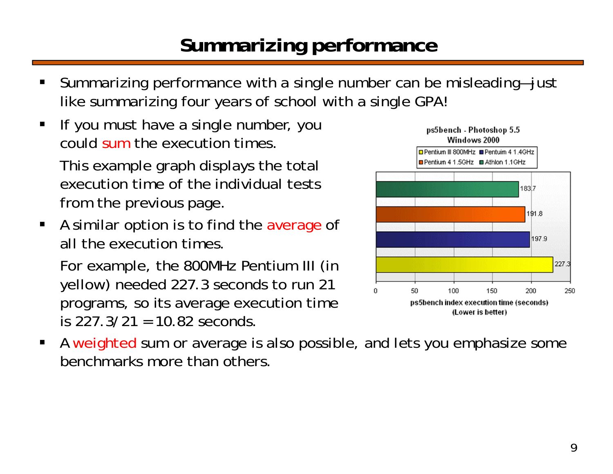## **Summarizing performance**

- Summarizing performance with a single number can be misleading—just like summarizing four years of school with a single GPA!
- $\blacksquare$  If you must have a single number, you could sum the execution times.

This example graph displays the total execution time of the individual tests from the previous page.

٠ A similar option is to find the average of all the execution times.

For example, the 800MHz Pentium III (in yellow) needed 227.3 seconds to run 21 programs, so its average execution time is  $227.3/21 = 10.82$  seconds.



 $\blacksquare$  A weighted sum or average is also possible, and lets you emphasize some benchmarks more than others.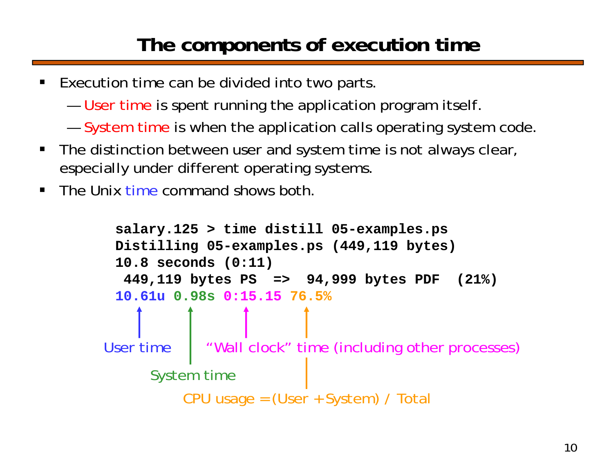## **The components of execution time**

- $\blacksquare$  Execution time can be divided into two parts.
	- ————————  $-$  User time is spent running the application program itself
	- ————————  $-$  System time is when the application calls operating system code.
- The distinction between user and system time is not always clear, especially under different operating systems.
- $\blacksquare$ **The Unix time command shows both.**

```
salary.125 > time distill 05-examples.ps
 Distilling 05-examples.ps (449,119 bytes)
 10.8 seconds (0:11)
  449,119 bytes PS => 94,999 bytes PDF (21%)
 10.61u 0.98s 0:15.15 76.5%
User time
     System time
         CPU usage = (User + System) / Total
           "Wall clock" time (including other processes)
```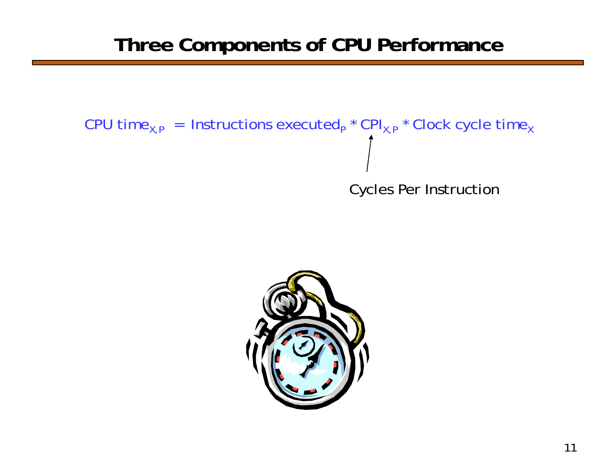#### **Three Components of CPU Performance**



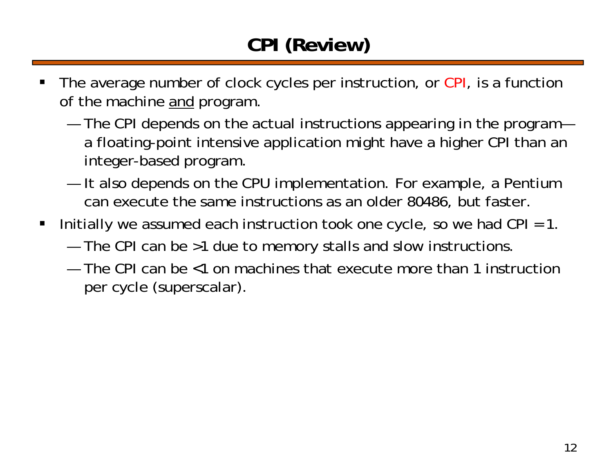## **CPI (Review)**

- ш The average number of clock cycles per instruction, or CPI, is a function of the machine and program.
	- ———————— The CPI depends on the actual instructions appearing in the program a floating-point intensive application might have a higher CPI than an integer-based program.
	- ———————— It also depends on the CPU implementation. For example, a Pentium can execute the same instructions as an older 80486, but faster.
- $\blacksquare$  Initially we assumed each instruction took one cycle, so we had CPI = 1.
	- ———————— The CPI can be >1 due to memory stalls and slow instructions.
	- The CPI can be *<*1 on machines that execute more than 1 instruction per cycle (superscalar).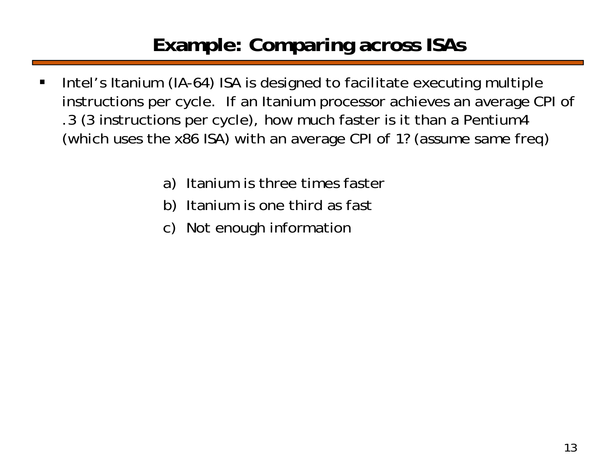## **Example: Comparing across ISAs**

- $\blacksquare$  Intel's Itanium (IA-64) ISA is designed to facilitate executing multiple instructions per cycle. If an Itanium processor achieves an average CPI of .3 (3 instructions per cycle), how much faster is it than a Pentium4 (which uses the x86 ISA) with an average CPI of 1? (assume same freq)
	- a) Itanium is three times faster
	- b) Itanium is one third as fast
	- c) Not enough information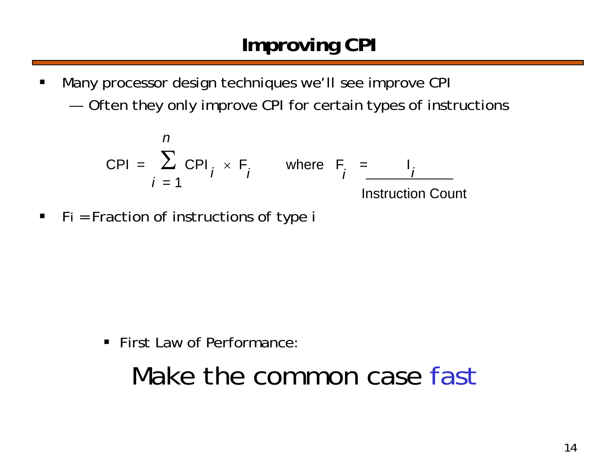- $\blacksquare$  Many processor design techniques we'll see improve CPI
	- Often they only improve CPI for certain types of instructions

$$
CPI = \sum_{i=1}^{n} CPI_i \times F_i \quad \text{where } F_i = \frac{I_i}{\text{Instruction Count}}
$$

 $\blacksquare$ Fi = Fraction of instructions of type i

**First Law of Performance** 

## Make the common case fast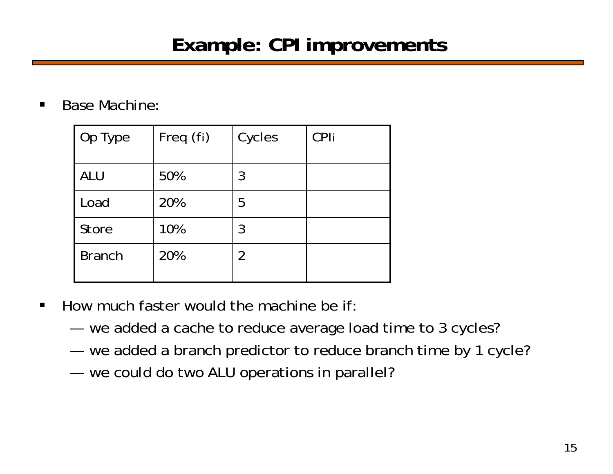#### **Example: CPI improvements**

 $\blacksquare$ Base Machine:

| Op Type       | Freq (fi) | Cycles | CPIi |
|---------------|-----------|--------|------|
| <b>ALU</b>    | 50%       | 3      |      |
| Load          | 20%       | 5      |      |
| <b>Store</b>  | 10%       | 3      |      |
| <b>Branch</b> | 20%       | 2      |      |

- $\blacksquare$  How much faster would the machine be if:
	- ——————— we added a cache to reduce average load time to 3 cycles?
	- ——————— we added a branch predictor to reduce branch time by 1 cycle?
	- ——————— we could do two ALU operations in parallel?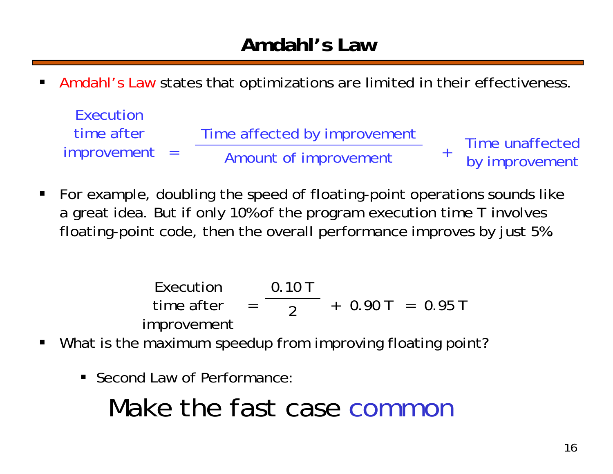#### **Amdahl's Law**

ш **• Amdahl's Law states that optimizations are limited in their effectiveness** 

Execution time after improvement <sup>=</sup> Time affected by improvement +Time unaffected Amount of improvement by improvement

 $\blacksquare$  For example, doubling the speed of floating-point operations sounds like a great idea. But if only 10% of the program execution time T involves floating-point code, then the overall performance improves by just 5%.

$$
\begin{array}{rcl}\n\text{Execution} & 0.10 \text{ T} \\
\text{time after} & = & 2 + 0.90 \text{ T} = 0.95 \text{ T} \\
\text{improvement}\n\end{array}
$$

- $\blacksquare$ What is the maximum speedup from improving floating point?
	- **Second Law of Performance:**

# Make the fast case common